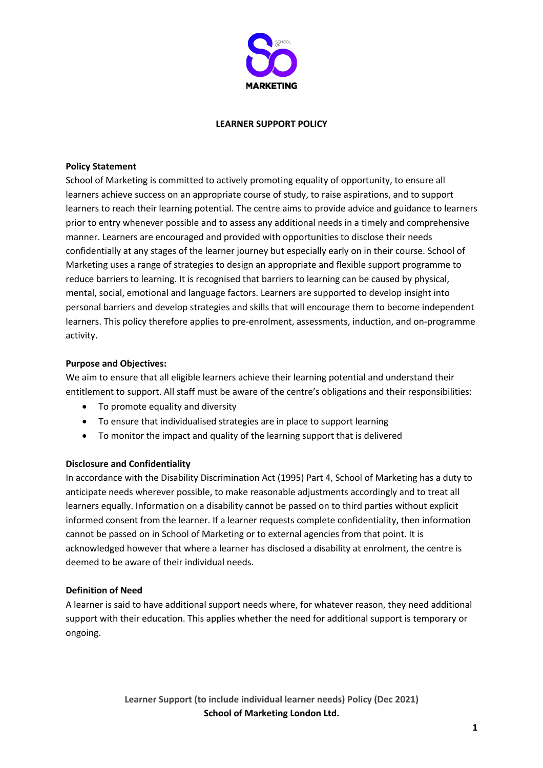

#### **LEARNER SUPPORT POLICY**

#### **Policy Statement**

School of Marketing is committed to actively promoting equality of opportunity, to ensure all learners achieve success on an appropriate course of study, to raise aspirations, and to support learners to reach their learning potential. The centre aims to provide advice and guidance to learners prior to entry whenever possible and to assess any additional needs in a timely and comprehensive manner. Learners are encouraged and provided with opportunities to disclose their needs confidentially at any stages of the learner journey but especially early on in their course. School of Marketing uses a range of strategies to design an appropriate and flexible support programme to reduce barriers to learning. It is recognised that barriers to learning can be caused by physical, mental, social, emotional and language factors. Learners are supported to develop insight into personal barriers and develop strategies and skills that will encourage them to become independent learners. This policy therefore applies to pre-enrolment, assessments, induction, and on-programme activity.

#### **Purpose and Objectives:**

We aim to ensure that all eligible learners achieve their learning potential and understand their entitlement to support. All staff must be aware of the centre's obligations and their responsibilities:

- To promote equality and diversity
- To ensure that individualised strategies are in place to support learning
- To monitor the impact and quality of the learning support that is delivered

# **Disclosure and Confidentiality**

In accordance with the Disability Discrimination Act (1995) Part 4, School of Marketing has a duty to anticipate needs wherever possible, to make reasonable adjustments accordingly and to treat all learners equally. Information on a disability cannot be passed on to third parties without explicit informed consent from the learner. If a learner requests complete confidentiality, then information cannot be passed on in School of Marketing or to external agencies from that point. It is acknowledged however that where a learner has disclosed a disability at enrolment, the centre is deemed to be aware of their individual needs.

# **Definition of Need**

A learner is said to have additional support needs where, for whatever reason, they need additional support with their education. This applies whether the need for additional support is temporary or ongoing.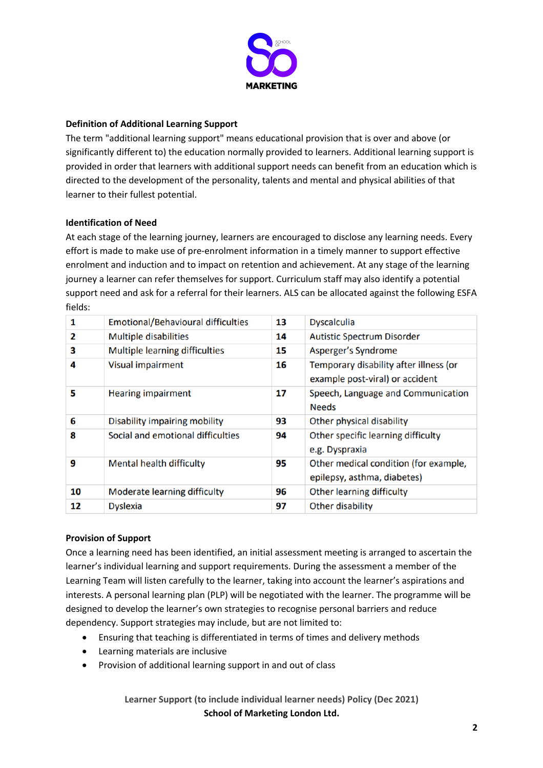

# **Definition of Additional Learning Support**

The term "additional learning support" means educational provision that is over and above (or significantly different to) the education normally provided to learners. Additional learning support is provided in order that learners with additional support needs can benefit from an education which is directed to the development of the personality, talents and mental and physical abilities of that learner to their fullest potential.

# **Identification of Need**

At each stage of the learning journey, learners are encouraged to disclose any learning needs. Every effort is made to make use of pre-enrolment information in a timely manner to support effective enrolment and induction and to impact on retention and achievement. At any stage of the learning journey a learner can refer themselves for support. Curriculum staff may also identify a potential support need and ask for a referral for their learners. ALS can be allocated against the following ESFA fields:

| 1  | <b>Emotional/Behavioural difficulties</b> | 13 | <b>Dyscalculia</b>                                                        |
|----|-------------------------------------------|----|---------------------------------------------------------------------------|
| 2  | <b>Multiple disabilities</b>              | 14 | <b>Autistic Spectrum Disorder</b>                                         |
| 3  | Multiple learning difficulties            | 15 | Asperger's Syndrome                                                       |
| 4  | Visual impairment                         | 16 | Temporary disability after illness (or<br>example post-viral) or accident |
| 5  | <b>Hearing impairment</b>                 | 17 | Speech, Language and Communication<br><b>Needs</b>                        |
| 6  | Disability impairing mobility             | 93 | Other physical disability                                                 |
| 8  | Social and emotional difficulties         | 94 | Other specific learning difficulty<br>e.g. Dyspraxia                      |
| 9  | <b>Mental health difficulty</b>           | 95 | Other medical condition (for example,<br>epilepsy, asthma, diabetes)      |
| 10 | Moderate learning difficulty              | 96 | Other learning difficulty                                                 |
| 12 | <b>Dyslexia</b>                           | 97 | Other disability                                                          |

# **Provision of Support**

Once a learning need has been identified, an initial assessment meeting is arranged to ascertain the learner's individual learning and support requirements. During the assessment a member of the Learning Team will listen carefully to the learner, taking into account the learner's aspirations and interests. A personal learning plan (PLP) will be negotiated with the learner. The programme will be designed to develop the learner's own strategies to recognise personal barriers and reduce dependency. Support strategies may include, but are not limited to:

- Ensuring that teaching is differentiated in terms of times and delivery methods
- Learning materials are inclusive
- Provision of additional learning support in and out of class

**Learner Support (to include individual learner needs) Policy (Dec 2021) School of Marketing London Ltd.**